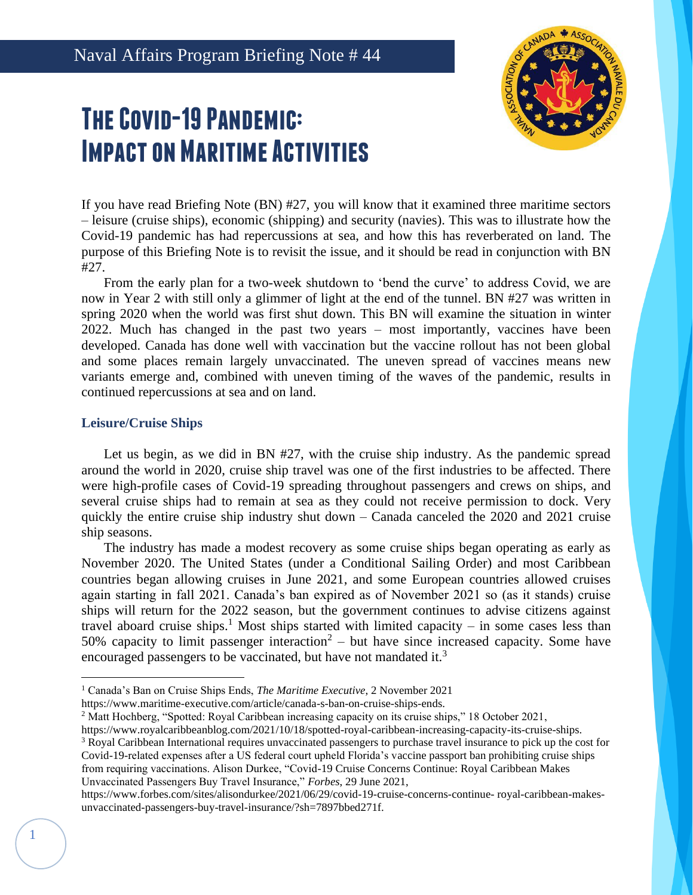# **The Covid-19 Pandemic: Impact on Maritime Activities**



If you have read Briefing Note (BN) #27, you will know that it examined three maritime sectors – leisure (cruise ships), economic (shipping) and security (navies). This was to illustrate how the Covid-19 pandemic has had repercussions at sea, and how this has reverberated on land. The purpose of this Briefing Note is to revisit the issue, and it should be read in conjunction with BN #27.

From the early plan for a two-week shutdown to 'bend the curve' to address Covid, we are now in Year 2 with still only a glimmer of light at the end of the tunnel. BN #27 was written in spring 2020 when the world was first shut down. This BN will examine the situation in winter 2022. Much has changed in the past two years – most importantly, vaccines have been developed. Canada has done well with vaccination but the vaccine rollout has not been global and some places remain largely unvaccinated. The uneven spread of vaccines means new variants emerge and, combined with uneven timing of the waves of the pandemic, results in continued repercussions at sea and on land.

## **Leisure/Cruise Ships**

1

Let us begin, as we did in BN #27, with the cruise ship industry. As the pandemic spread around the world in 2020, cruise ship travel was one of the first industries to be affected. There were high-profile cases of Covid-19 spreading throughout passengers and crews on ships, and several cruise ships had to remain at sea as they could not receive permission to dock. Very quickly the entire cruise ship industry shut down – Canada canceled the 2020 and 2021 cruise ship seasons.

The industry has made a modest recovery as some cruise ships began operating as early as November 2020. The United States (under a Conditional Sailing Order) and most Caribbean countries began allowing cruises in June 2021, and some European countries allowed cruises again starting in fall 2021. Canada's ban expired as of November 2021 so (as it stands) cruise ships will return for the 2022 season, but the government continues to advise citizens against travel aboard cruise ships.<sup>1</sup> Most ships started with limited capacity – in some cases less than 50% capacity to limit passenger interaction<sup>2</sup> – but have since increased capacity. Some have encouraged passengers to be vaccinated, but have not mandated it.<sup>3</sup>

<sup>1</sup> Canada's Ban on Cruise Ships Ends, *The Maritime Executive*, 2 November 2021

https://www.maritime-executive.com/article/canada-s-ban-on-cruise-ships-ends.

<sup>2</sup> Matt Hochberg, "Spotted: Royal Caribbean increasing capacity on its cruise ships," 18 October 2021,

https://www.royalcaribbeanblog.com/2021/10/18/spotted-royal-caribbean-increasing-capacity-its-cruise-ships. <sup>3</sup> Royal Caribbean International requires unvaccinated passengers to purchase travel insurance to pick up the cost for Covid-19-related expenses after a US federal court upheld Florida's vaccine passport ban prohibiting cruise ships from requiring vaccinations. Alison Durkee, "Covid-19 Cruise Concerns Continue: Royal Caribbean Makes Unvaccinated Passengers Buy Travel Insurance," *Forbes*, 29 June 2021,

https://www.forbes.com/sites/alisondurkee/2021/06/29/covid-19-cruise-concerns-continue- royal-caribbean-makesunvaccinated-passengers-buy-travel-insurance/?sh=7897bbed271f.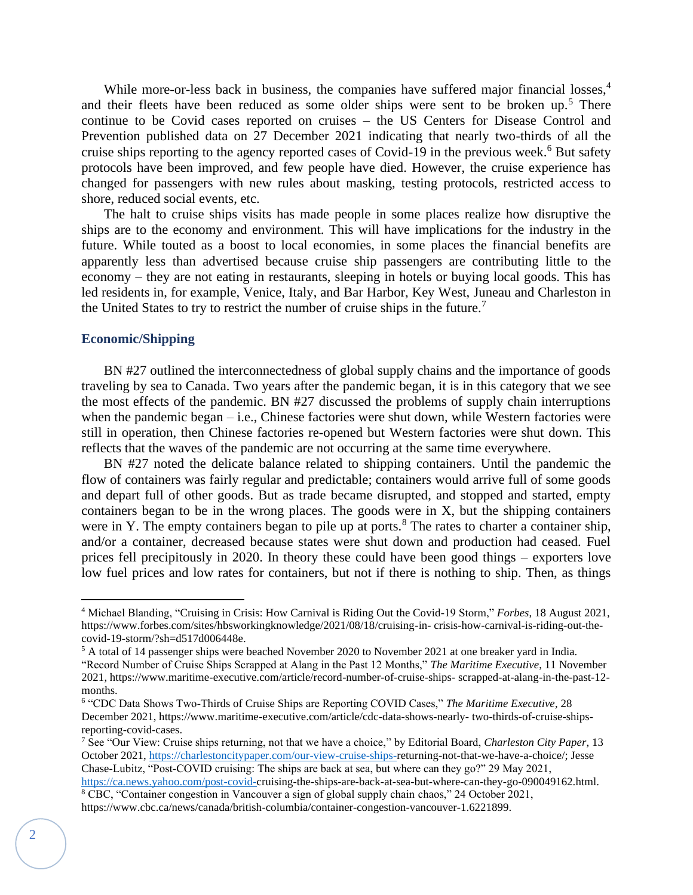While more-or-less back in business, the companies have suffered major financial losses,<sup>4</sup> and their fleets have been reduced as some older ships were sent to be broken up.<sup>5</sup> There continue to be Covid cases reported on cruises – the US Centers for Disease Control and Prevention published data on 27 December 2021 indicating that nearly two-thirds of all the cruise ships reporting to the agency reported cases of Covid-19 in the previous week.<sup>6</sup> But safety protocols have been improved, and few people have died. However, the cruise experience has changed for passengers with new rules about masking, testing protocols, restricted access to shore, reduced social events, etc.

The halt to cruise ships visits has made people in some places realize how disruptive the ships are to the economy and environment. This will have implications for the industry in the future. While touted as a boost to local economies, in some places the financial benefits are apparently less than advertised because cruise ship passengers are contributing little to the economy – they are not eating in restaurants, sleeping in hotels or buying local goods. This has led residents in, for example, Venice, Italy, and Bar Harbor, Key West, Juneau and Charleston in the United States to try to restrict the number of cruise ships in the future.<sup>7</sup>

#### **Economic/Shipping**

BN #27 outlined the interconnectedness of global supply chains and the importance of goods traveling by sea to Canada. Two years after the pandemic began, it is in this category that we see the most effects of the pandemic. BN #27 discussed the problems of supply chain interruptions when the pandemic began – i.e., Chinese factories were shut down, while Western factories were still in operation, then Chinese factories re-opened but Western factories were shut down. This reflects that the waves of the pandemic are not occurring at the same time everywhere.

BN #27 noted the delicate balance related to shipping containers. Until the pandemic the flow of containers was fairly regular and predictable; containers would arrive full of some goods and depart full of other goods. But as trade became disrupted, and stopped and started, empty containers began to be in the wrong places. The goods were in X, but the shipping containers were in Y. The empty containers began to pile up at ports. $8$  The rates to charter a container ship, and/or a container, decreased because states were shut down and production had ceased. Fuel prices fell precipitously in 2020. In theory these could have been good things – exporters love low fuel prices and low rates for containers, but not if there is nothing to ship. Then, as things

<sup>4</sup> Michael Blanding, "Cruising in Crisis: How Carnival is Riding Out the Covid-19 Storm," *Forbes*, 18 August 2021, https://www.forbes.com/sites/hbsworkingknowledge/2021/08/18/cruising-in- crisis-how-carnival-is-riding-out-thecovid-19-storm/?sh=d517d006448e.

<sup>5</sup> A total of 14 passenger ships were beached November 2020 to November 2021 at one breaker yard in India.

<sup>&</sup>quot;Record Number of Cruise Ships Scrapped at Alang in the Past 12 Months," *The Maritime Executive*, 11 November 2021, https://www.maritime-executive.com/article/record-number-of-cruise-ships- scrapped-at-alang-in-the-past-12 months.

<sup>6</sup> "CDC Data Shows Two-Thirds of Cruise Ships are Reporting COVID Cases," *The Maritime Executive*, 28 December 2021, https://www.maritime-executive.com/article/cdc-data-shows-nearly- two-thirds-of-cruise-shipsreporting-covid-cases.

<sup>7</sup> See "Our View: Cruise ships returning, not that we have a choice," by Editorial Board, *Charleston City Paper*, 13 October 2021[, https://charlestoncitypaper.com/our-view-cruise-ships-r](https://charlestoncitypaper.com/our-view-cruise-ships-)eturning-not-that-we-have-a-choice/; Jesse Chase-Lubitz, "Post-COVID cruising: The ships are back at sea, but where can they go?" 29 May 2021,

[https://ca.news.yahoo.com/post-covid-c](https://ca.news.yahoo.com/post-covid-)ruising-the-ships-are-back-at-sea-but-where-can-they-go-090049162.html. <sup>8</sup> CBC, "Container congestion in Vancouver a sign of global supply chain chaos," 24 October 2021, https://www.cbc.ca/news/canada/british-columbia/container-congestion-vancouver-1.6221899.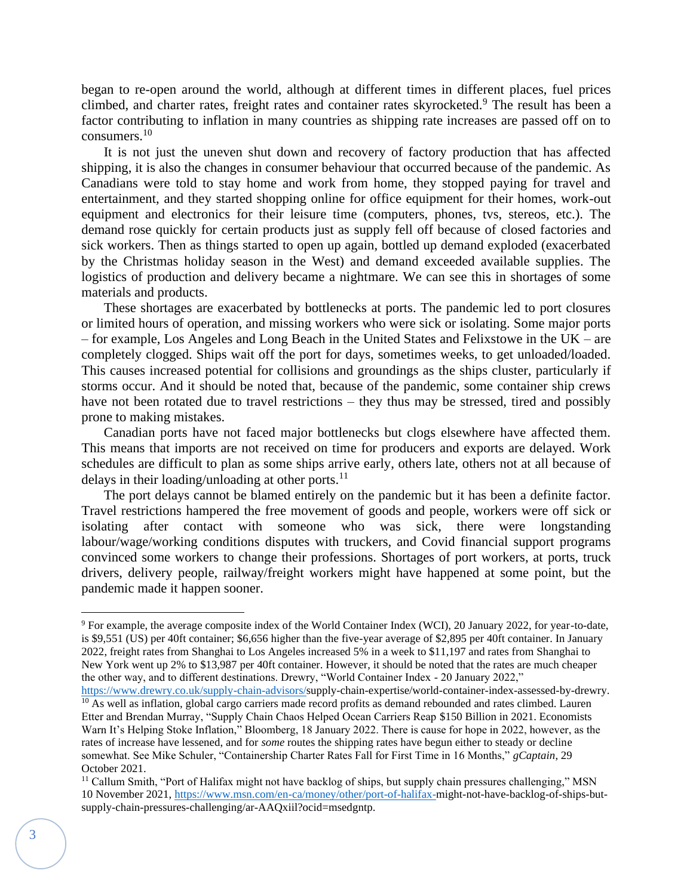began to re-open around the world, although at different times in different places, fuel prices climbed, and charter rates, freight rates and container rates skyrocketed.<sup>9</sup> The result has been a factor contributing to inflation in many countries as shipping rate increases are passed off on to consumers.<sup>10</sup>

It is not just the uneven shut down and recovery of factory production that has affected shipping, it is also the changes in consumer behaviour that occurred because of the pandemic. As Canadians were told to stay home and work from home, they stopped paying for travel and entertainment, and they started shopping online for office equipment for their homes, work-out equipment and electronics for their leisure time (computers, phones, tvs, stereos, etc.). The demand rose quickly for certain products just as supply fell off because of closed factories and sick workers. Then as things started to open up again, bottled up demand exploded (exacerbated by the Christmas holiday season in the West) and demand exceeded available supplies. The logistics of production and delivery became a nightmare. We can see this in shortages of some materials and products.

These shortages are exacerbated by bottlenecks at ports. The pandemic led to port closures or limited hours of operation, and missing workers who were sick or isolating. Some major ports – for example, Los Angeles and Long Beach in the United States and Felixstowe in the UK – are completely clogged. Ships wait off the port for days, sometimes weeks, to get unloaded/loaded. This causes increased potential for collisions and groundings as the ships cluster, particularly if storms occur. And it should be noted that, because of the pandemic, some container ship crews have not been rotated due to travel restrictions – they thus may be stressed, tired and possibly prone to making mistakes.

Canadian ports have not faced major bottlenecks but clogs elsewhere have affected them. This means that imports are not received on time for producers and exports are delayed. Work schedules are difficult to plan as some ships arrive early, others late, others not at all because of delays in their loading/unloading at other ports. $^{11}$ 

The port delays cannot be blamed entirely on the pandemic but it has been a definite factor. Travel restrictions hampered the free movement of goods and people, workers were off sick or isolating after contact with someone who was sick, there were longstanding labour/wage/working conditions disputes with truckers, and Covid financial support programs convinced some workers to change their professions. Shortages of port workers, at ports, truck drivers, delivery people, railway/freight workers might have happened at some point, but the pandemic made it happen sooner.

<sup>9</sup> For example, the average composite index of the World Container Index (WCI), 20 January 2022, for year-to-date, is \$9,551 (US) per 40ft container; \$6,656 higher than the five-year average of \$2,895 per 40ft container. In January 2022, freight rates from Shanghai to Los Angeles increased 5% in a week to \$11,197 and rates from Shanghai to New York went up 2% to \$13,987 per 40ft container. However, it should be noted that the rates are much cheaper the other way, and to different destinations. Drewry, "World Container Index - 20 January 2022,"

[https://www.drewry.co.uk/supply-chain-advisors/s](https://www.drewry.co.uk/supply-chain-advisors/)upply-chain-expertise/world-container-index-assessed-by-drewry.  $\frac{10}{10}$  As well as inflation, global cargo carriers made record profits as demand rebounded and rates climbed. Lauren Etter and Brendan Murray, "Supply Chain Chaos Helped Ocean Carriers Reap \$150 Billion in 2021. Economists Warn It's Helping Stoke Inflation," Bloomberg, 18 January 2022. There is cause for hope in 2022, however, as the rates of increase have lessened, and for *some* routes the shipping rates have begun either to steady or decline somewhat. See Mike Schuler, "Containership Charter Rates Fall for First Time in 16 Months," *gCaptain*, 29 October 2021.

 $11$  Callum Smith, "Port of Halifax might not have backlog of ships, but supply chain pressures challenging," MSN 10 November 2021, [https://www.msn.com/en-ca/money/other/port-of-halifax-m](https://www.msn.com/en-ca/money/other/port-of-halifax-)ight-not-have-backlog-of-ships-butsupply-chain-pressures-challenging/ar-AAQxiil?ocid=msedgntp.